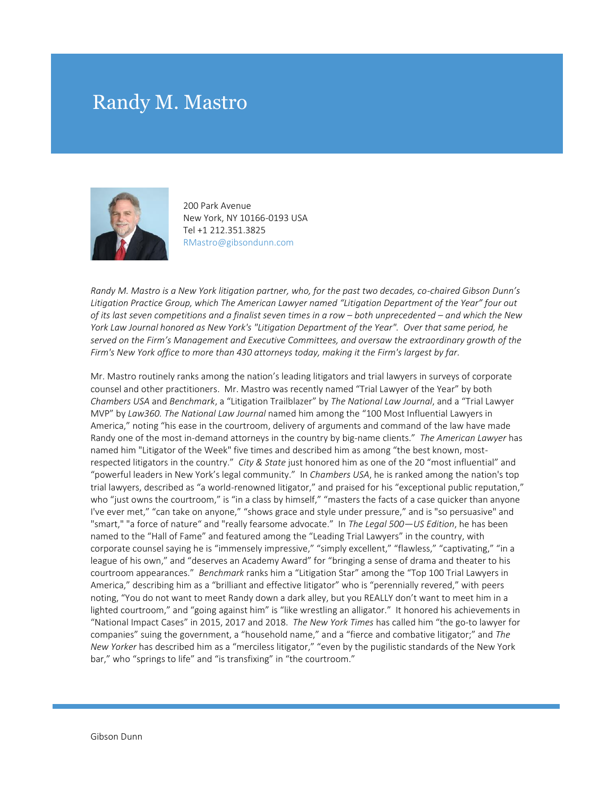## Randy M. Mastro



200 Park Avenue New York, NY 10166-0193 USA Tel +1 212.351.3825 RMastro@gibsondunn.com

*Randy M. Mastro is a New York litigation partner, who, for the past two decades, co-chaired Gibson Dunn's Litigation Practice Group, which The American Lawyer named "Litigation Department of the Year" four out of its last seven competitions and a finalist seven times in a row – both unprecedented – and which the New York Law Journal honored as New York's "Litigation Department of the Year". Over that same period, he served on the Firm's Management and Executive Committees, and oversaw the extraordinary growth of the Firm's New York office to more than 430 attorneys today, making it the Firm's largest by far.*

Mr. Mastro routinely ranks among the nation's leading litigators and trial lawyers in surveys of corporate counsel and other practitioners. Mr. Mastro was recently named "Trial Lawyer of the Year" by both *Chambers USA* and *Benchmark*, a "Litigation Trailblazer" by *The National Law Journal*, and a "Trial Lawyer MVP" by *Law360. The National Law Journal* named him among the "100 Most Influential Lawyers in America," noting "his ease in the courtroom, delivery of arguments and command of the law have made Randy one of the most in-demand attorneys in the country by big-name clients." *The American Lawyer* has named him "Litigator of the Week" five times and described him as among "the best known, mostrespected litigators in the country." *City & State* just honored him as one of the 20 "most influential" and "powerful leaders in New York's legal community." In *Chambers USA*, he is ranked among the nation's top trial lawyers, described as "a world-renowned litigator," and praised for his "exceptional public reputation," who "just owns the courtroom," is "in a class by himself," "masters the facts of a case quicker than anyone I've ever met," "can take on anyone," "shows grace and style under pressure," and is "so persuasive" and "smart," "a force of nature" and "really fearsome advocate." In *The Legal 500—US Edition*, he has been named to the "Hall of Fame" and featured among the "Leading Trial Lawyers" in the country, with corporate counsel saying he is "immensely impressive," "simply excellent," "flawless," "captivating," "in a league of his own," and "deserves an Academy Award" for "bringing a sense of drama and theater to his courtroom appearances." *Benchmark* ranks him a "Litigation Star" among the "Top 100 Trial Lawyers in America," describing him as a "brilliant and effective litigator" who is "perennially revered," with peers noting, "You do not want to meet Randy down a dark alley, but you REALLY don't want to meet him in a lighted courtroom," and "going against him" is "like wrestling an alligator." It honored his achievements in "National Impact Cases" in 2015, 2017 and 2018. *The New York Times* has called him "the go-to lawyer for companies" suing the government, a "household name," and a "fierce and combative litigator;" and *The New Yorker* has described him as a "merciless litigator," "even by the pugilistic standards of the New York bar," who "springs to life" and "is transfixing" in "the courtroom."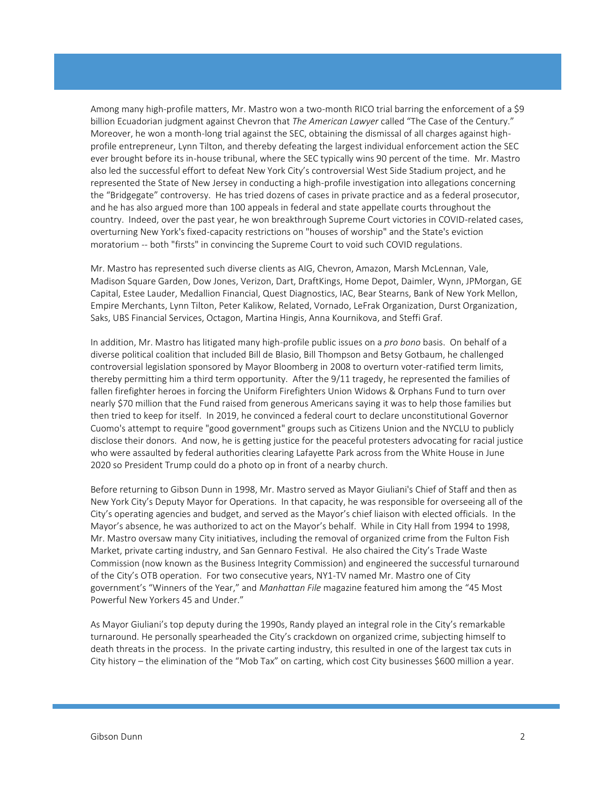Among many high-profile matters, Mr. Mastro won a two-month RICO trial barring the enforcement of a \$9 billion Ecuadorian judgment against Chevron that *The American Lawyer* called "The Case of the Century." Moreover, he won a month-long trial against the SEC, obtaining the dismissal of all charges against highprofile entrepreneur, Lynn Tilton, and thereby defeating the largest individual enforcement action the SEC ever brought before its in-house tribunal, where the SEC typically wins 90 percent of the time. Mr. Mastro also led the successful effort to defeat New York City's controversial West Side Stadium project, and he represented the State of New Jersey in conducting a high-profile investigation into allegations concerning the "Bridgegate" controversy. He has tried dozens of cases in private practice and as a federal prosecutor, and he has also argued more than 100 appeals in federal and state appellate courts throughout the country. Indeed, over the past year, he won breakthrough Supreme Court victories in COVID-related cases, overturning New York's fixed-capacity restrictions on "houses of worship" and the State's eviction moratorium -- both "firsts" in convincing the Supreme Court to void such COVID regulations.

Mr. Mastro has represented such diverse clients as AIG, Chevron, Amazon, Marsh McLennan, Vale, Madison Square Garden, Dow Jones, Verizon, Dart, DraftKings, Home Depot, Daimler, Wynn, JPMorgan, GE Capital, Estee Lauder, Medallion Financial, Quest Diagnostics, IAC, Bear Stearns, Bank of New York Mellon, Empire Merchants, Lynn Tilton, Peter Kalikow, Related, Vornado, LeFrak Organization, Durst Organization, Saks, UBS Financial Services, Octagon, Martina Hingis, Anna Kournikova, and Steffi Graf.

In addition, Mr. Mastro has litigated many high-profile public issues on a *pro bono* basis. On behalf of a diverse political coalition that included Bill de Blasio, Bill Thompson and Betsy Gotbaum, he challenged controversial legislation sponsored by Mayor Bloomberg in 2008 to overturn voter-ratified term limits, thereby permitting him a third term opportunity. After the 9/11 tragedy, he represented the families of fallen firefighter heroes in forcing the Uniform Firefighters Union Widows & Orphans Fund to turn over nearly \$70 million that the Fund raised from generous Americans saying it was to help those families but then tried to keep for itself. In 2019, he convinced a federal court to declare unconstitutional Governor Cuomo's attempt to require "good government" groups such as Citizens Union and the NYCLU to publicly disclose their donors. And now, he is getting justice for the peaceful protesters advocating for racial justice who were assaulted by federal authorities clearing Lafayette Park across from the White House in June 2020 so President Trump could do a photo op in front of a nearby church.

Before returning to Gibson Dunn in 1998, Mr. Mastro served as Mayor Giuliani's Chief of Staff and then as New York City's Deputy Mayor for Operations. In that capacity, he was responsible for overseeing all of the City's operating agencies and budget, and served as the Mayor's chief liaison with elected officials. In the Mayor's absence, he was authorized to act on the Mayor's behalf. While in City Hall from 1994 to 1998, Mr. Mastro oversaw many City initiatives, including the removal of organized crime from the Fulton Fish Market, private carting industry, and San Gennaro Festival. He also chaired the City's Trade Waste Commission (now known as the Business Integrity Commission) and engineered the successful turnaround of the City's OTB operation. For two consecutive years, NY1-TV named Mr. Mastro one of City government's "Winners of the Year," and *Manhattan File* magazine featured him among the "45 Most Powerful New Yorkers 45 and Under."

As Mayor Giuliani's top deputy during the 1990s, Randy played an integral role in the City's remarkable turnaround. He personally spearheaded the City's crackdown on organized crime, subjecting himself to death threats in the process. In the private carting industry, this resulted in one of the largest tax cuts in City history – the elimination of the "Mob Tax" on carting, which cost City businesses \$600 million a year.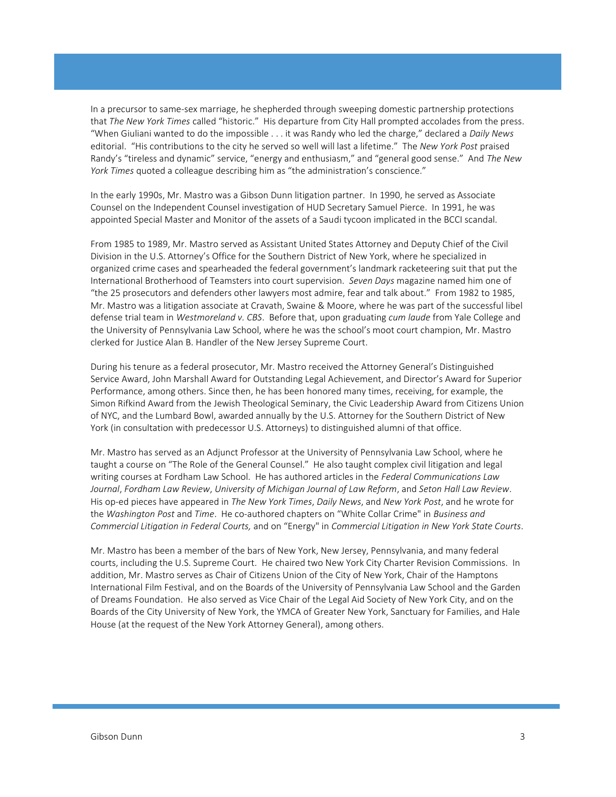In a precursor to same-sex marriage, he shepherded through sweeping domestic partnership protections that *The New York Times* called "historic." His departure from City Hall prompted accolades from the press. "When Giuliani wanted to do the impossible . . . it was Randy who led the charge," declared a *Daily News*  editorial. "His contributions to the city he served so well will last a lifetime." The *New York Post* praised Randy's "tireless and dynamic" service, "energy and enthusiasm," and "general good sense." And *The New York Times* quoted a colleague describing him as "the administration's conscience."

In the early 1990s, Mr. Mastro was a Gibson Dunn litigation partner. In 1990, he served as Associate Counsel on the Independent Counsel investigation of HUD Secretary Samuel Pierce. In 1991, he was appointed Special Master and Monitor of the assets of a Saudi tycoon implicated in the BCCI scandal.

From 1985 to 1989, Mr. Mastro served as Assistant United States Attorney and Deputy Chief of the Civil Division in the U.S. Attorney's Office for the Southern District of New York, where he specialized in organized crime cases and spearheaded the federal government's landmark racketeering suit that put the International Brotherhood of Teamsters into court supervision. *Seven Days* magazine named him one of "the 25 prosecutors and defenders other lawyers most admire, fear and talk about." From 1982 to 1985, Mr. Mastro was a litigation associate at Cravath, Swaine & Moore, where he was part of the successful libel defense trial team in *Westmoreland v. CBS*. Before that, upon graduating *cum laude* from Yale College and the University of Pennsylvania Law School, where he was the school's moot court champion, Mr. Mastro clerked for Justice Alan B. Handler of the New Jersey Supreme Court.

During his tenure as a federal prosecutor, Mr. Mastro received the Attorney General's Distinguished Service Award, John Marshall Award for Outstanding Legal Achievement, and Director's Award for Superior Performance, among others. Since then, he has been honored many times, receiving, for example, the Simon Rifkind Award from the Jewish Theological Seminary, the Civic Leadership Award from Citizens Union of NYC, and the Lumbard Bowl, awarded annually by the U.S. Attorney for the Southern District of New York (in consultation with predecessor U.S. Attorneys) to distinguished alumni of that office.

Mr. Mastro has served as an Adjunct Professor at the University of Pennsylvania Law School, where he taught a course on "The Role of the General Counsel." He also taught complex civil litigation and legal writing courses at Fordham Law School. He has authored articles in the *Federal Communications Law Journal*, *Fordham Law Review*, *University of Michigan Journal of Law Reform*, and *Seton Hall Law Review*. His op-ed pieces have appeared in *The New York Times*, *Daily News*, and *New York Post*, and he wrote for the *Washington Post* and *Time*. He co-authored chapters on "White Collar Crime" in *Business and Commercial Litigation in Federal Courts,* and on "Energy" in *Commercial Litigation in New York State Courts*.

Mr. Mastro has been a member of the bars of New York, New Jersey, Pennsylvania, and many federal courts, including the U.S. Supreme Court. He chaired two New York City Charter Revision Commissions. In addition, Mr. Mastro serves as Chair of Citizens Union of the City of New York, Chair of the Hamptons International Film Festival, and on the Boards of the University of Pennsylvania Law School and the Garden of Dreams Foundation. He also served as Vice Chair of the Legal Aid Society of New York City, and on the Boards of the City University of New York, the YMCA of Greater New York, Sanctuary for Families, and Hale House (at the request of the New York Attorney General), among others.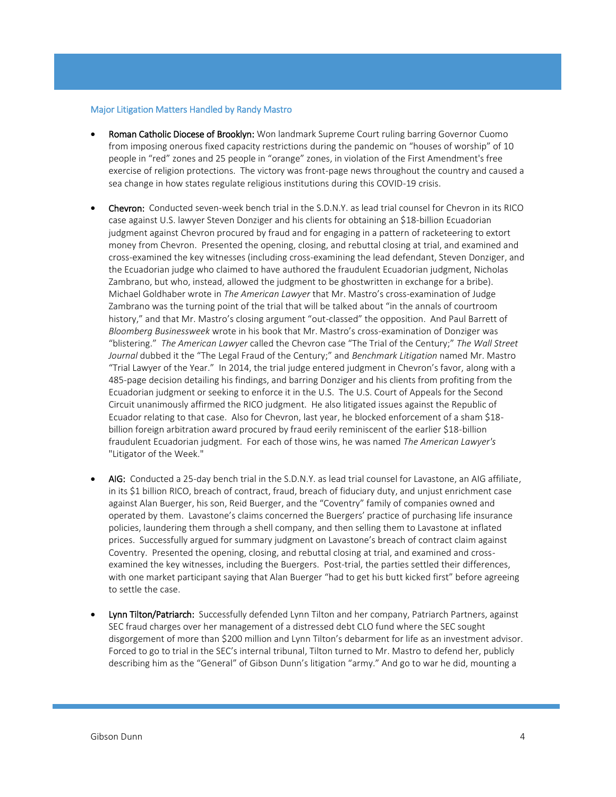## Major Litigation Matters Handled by Randy Mastro

- Roman Catholic Diocese of Brooklyn: Won landmark Supreme Court ruling barring Governor Cuomo from imposing onerous fixed capacity restrictions during the pandemic on "houses of worship" of 10 people in "red" zones and 25 people in "orange" zones, in violation of the First Amendment's free exercise of religion protections. The victory was front-page news throughout the country and caused a sea change in how states regulate religious institutions during this COVID-19 crisis.
- Chevron: Conducted seven-week bench trial in the S.D.N.Y. as lead trial counsel for Chevron in its RICO case against U.S. lawyer Steven Donziger and his clients for obtaining an \$18-billion Ecuadorian judgment against Chevron procured by fraud and for engaging in a pattern of racketeering to extort money from Chevron. Presented the opening, closing, and rebuttal closing at trial, and examined and cross-examined the key witnesses (including cross-examining the lead defendant, Steven Donziger, and the Ecuadorian judge who claimed to have authored the fraudulent Ecuadorian judgment, Nicholas Zambrano, but who, instead, allowed the judgment to be ghostwritten in exchange for a bribe). Michael Goldhaber wrote in *The American Lawyer* that Mr. Mastro's cross-examination of Judge Zambrano was the turning point of the trial that will be talked about "in the annals of courtroom history," and that Mr. Mastro's closing argument "out-classed" the opposition. And Paul Barrett of *Bloomberg Businessweek* wrote in his book that Mr. Mastro's cross-examination of Donziger was "blistering." *The American Lawyer* called the Chevron case "The Trial of the Century;" *The Wall Street Journal* dubbed it the "The Legal Fraud of the Century;" and *Benchmark Litigation* named Mr. Mastro "Trial Lawyer of the Year." In 2014, the trial judge entered judgment in Chevron's favor, along with a 485-page decision detailing his findings, and barring Donziger and his clients from profiting from the Ecuadorian judgment or seeking to enforce it in the U.S. The U.S. Court of Appeals for the Second Circuit unanimously affirmed the RICO judgment. He also litigated issues against the Republic of Ecuador relating to that case. Also for Chevron, last year, he blocked enforcement of a sham \$18 billion foreign arbitration award procured by fraud eerily reminiscent of the earlier \$18-billion fraudulent Ecuadorian judgment. For each of those wins, he was named *The American Lawyer's*  "Litigator of the Week."
- AIG: Conducted a 25-day bench trial in the S.D.N.Y. as lead trial counsel for Lavastone, an AIG affiliate, in its \$1 billion RICO, breach of contract, fraud, breach of fiduciary duty, and unjust enrichment case against Alan Buerger, his son, Reid Buerger, and the "Coventry" family of companies owned and operated by them. Lavastone's claims concerned the Buergers' practice of purchasing life insurance policies, laundering them through a shell company, and then selling them to Lavastone at inflated prices. Successfully argued for summary judgment on Lavastone's breach of contract claim against Coventry. Presented the opening, closing, and rebuttal closing at trial, and examined and crossexamined the key witnesses, including the Buergers. Post-trial, the parties settled their differences, with one market participant saying that Alan Buerger "had to get his butt kicked first" before agreeing to settle the case.
- Lynn Tilton/Patriarch: Successfully defended Lynn Tilton and her company, Patriarch Partners, against SEC fraud charges over her management of a distressed debt CLO fund where the SEC sought disgorgement of more than \$200 million and Lynn Tilton's debarment for life as an investment advisor. Forced to go to trial in the SEC's internal tribunal, Tilton turned to Mr. Mastro to defend her, publicly describing him as the "General" of Gibson Dunn's litigation "army." And go to war he did, mounting a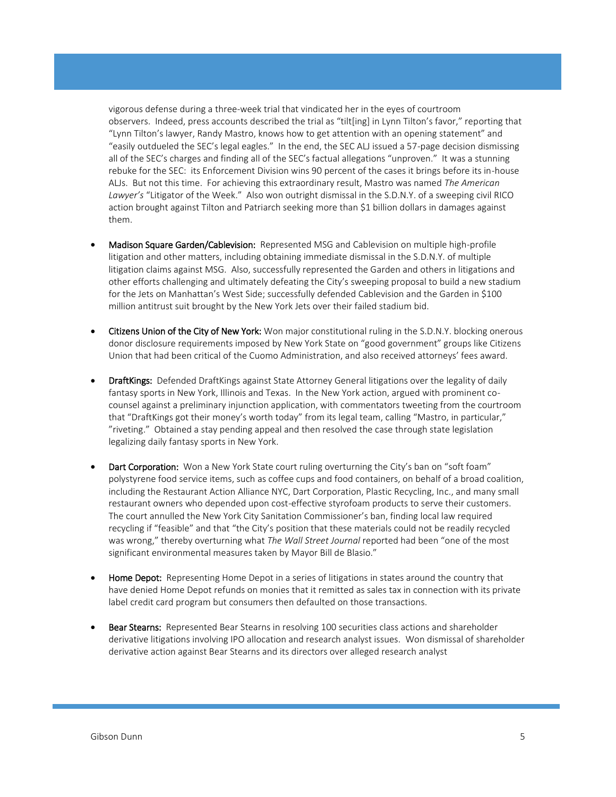vigorous defense during a three-week trial that vindicated her in the eyes of courtroom observers. Indeed, press accounts described the trial as "tilt[ing] in Lynn Tilton's favor," reporting that "Lynn Tilton's lawyer, Randy Mastro, knows how to get attention with an opening statement" and "easily outdueled the SEC's legal eagles." In the end, the SEC ALJ issued a 57-page decision dismissing all of the SEC's charges and finding all of the SEC's factual allegations "unproven." It was a stunning rebuke for the SEC: its Enforcement Division wins 90 percent of the cases it brings before its in-house ALJs. But not this time. For achieving this extraordinary result, Mastro was named *The American Lawyer's* "Litigator of the Week." Also won outright dismissal in the S.D.N.Y. of a sweeping civil RICO action brought against Tilton and Patriarch seeking more than \$1 billion dollars in damages against them.

- Madison Square Garden/Cablevision: Represented MSG and Cablevision on multiple high-profile litigation and other matters, including obtaining immediate dismissal in the S.D.N.Y. of multiple litigation claims against MSG. Also, successfully represented the Garden and others in litigations and other efforts challenging and ultimately defeating the City's sweeping proposal to build a new stadium for the Jets on Manhattan's West Side; successfully defended Cablevision and the Garden in \$100 million antitrust suit brought by the New York Jets over their failed stadium bid.
- Citizens Union of the City of New York: Won major constitutional ruling in the S.D.N.Y. blocking onerous donor disclosure requirements imposed by New York State on "good government" groups like Citizens Union that had been critical of the Cuomo Administration, and also received attorneys' fees award.
- **DraftKings:** Defended DraftKings against State Attorney General litigations over the legality of daily fantasy sports in New York, Illinois and Texas. In the New York action, argued with prominent cocounsel against a preliminary injunction application, with commentators tweeting from the courtroom that "DraftKings got their money's worth today" from its legal team, calling "Mastro, in particular," "riveting." Obtained a stay pending appeal and then resolved the case through state legislation legalizing daily fantasy sports in New York.
- Dart Corporation: Won a New York State court ruling overturning the City's ban on "soft foam" polystyrene food service items, such as coffee cups and food containers, on behalf of a broad coalition, including the Restaurant Action Alliance NYC, Dart Corporation, Plastic Recycling, Inc., and many small restaurant owners who depended upon cost-effective styrofoam products to serve their customers. The court annulled the New York City Sanitation Commissioner's ban, finding local law required recycling if "feasible" and that "the City's position that these materials could not be readily recycled was wrong," thereby overturning what *The Wall Street Journal* reported had been "one of the most significant environmental measures taken by Mayor Bill de Blasio."
- Home Depot: Representing Home Depot in a series of litigations in states around the country that have denied Home Depot refunds on monies that it remitted as sales tax in connection with its private label credit card program but consumers then defaulted on those transactions.
- Bear Stearns: Represented Bear Stearns in resolving 100 securities class actions and shareholder derivative litigations involving IPO allocation and research analyst issues. Won dismissal of shareholder derivative action against Bear Stearns and its directors over alleged research analyst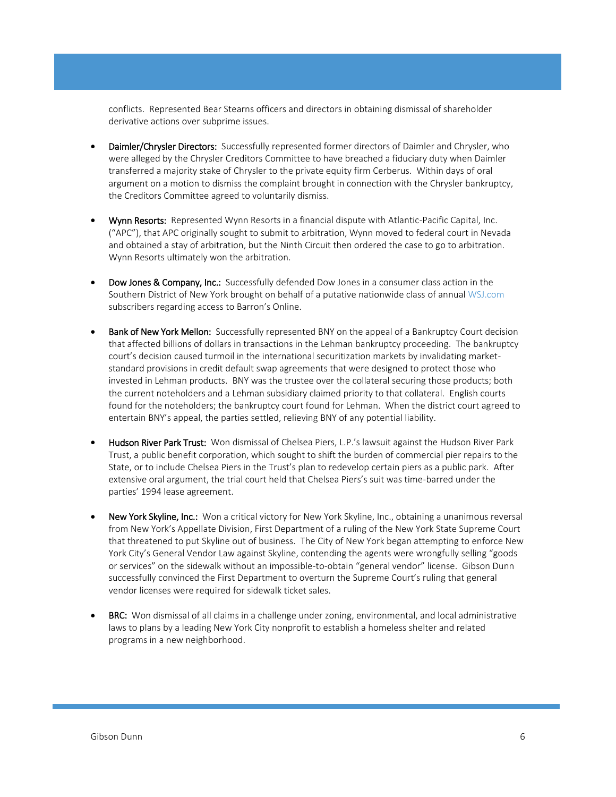conflicts. Represented Bear Stearns officers and directors in obtaining dismissal of shareholder derivative actions over subprime issues.

- Daimler/Chrysler Directors: Successfully represented former directors of Daimler and Chrysler, who were alleged by the Chrysler Creditors Committee to have breached a fiduciary duty when Daimler transferred a majority stake of Chrysler to the private equity firm Cerberus. Within days of oral argument on a motion to dismiss the complaint brought in connection with the Chrysler bankruptcy, the Creditors Committee agreed to voluntarily dismiss.
- Wynn Resorts: Represented Wynn Resorts in a financial dispute with Atlantic-Pacific Capital, Inc. ("APC"), that APC originally sought to submit to arbitration, Wynn moved to federal court in Nevada and obtained a stay of arbitration, but the Ninth Circuit then ordered the case to go to arbitration. Wynn Resorts ultimately won the arbitration.
- Dow Jones & Company, Inc.: Successfully defended Dow Jones in a consumer class action in the Southern District of New York brought on behalf of a putative nationwide class of annual [WSJ.com](http://wsj.com/) subscribers regarding access to Barron's Online.
- Bank of New York Mellon: Successfully represented BNY on the appeal of a Bankruptcy Court decision that affected billions of dollars in transactions in the Lehman bankruptcy proceeding. The bankruptcy court's decision caused turmoil in the international securitization markets by invalidating marketstandard provisions in credit default swap agreements that were designed to protect those who invested in Lehman products. BNY was the trustee over the collateral securing those products; both the current noteholders and a Lehman subsidiary claimed priority to that collateral. English courts found for the noteholders; the bankruptcy court found for Lehman. When the district court agreed to entertain BNY's appeal, the parties settled, relieving BNY of any potential liability.
- Hudson River Park Trust: Won dismissal of Chelsea Piers, L.P.'s lawsuit against the Hudson River Park Trust, a public benefit corporation, which sought to shift the burden of commercial pier repairs to the State, or to include Chelsea Piers in the Trust's plan to redevelop certain piers as a public park. After extensive oral argument, the trial court held that Chelsea Piers's suit was time-barred under the parties' 1994 lease agreement.
- New York Skyline, Inc.: Won a critical victory for New York Skyline, Inc., obtaining a unanimous reversal from New York's Appellate Division, First Department of a ruling of the New York State Supreme Court that threatened to put Skyline out of business. The City of New York began attempting to enforce New York City's General Vendor Law against Skyline, contending the agents were wrongfully selling "goods or services" on the sidewalk without an impossible-to-obtain "general vendor" license. Gibson Dunn successfully convinced the First Department to overturn the Supreme Court's ruling that general vendor licenses were required for sidewalk ticket sales.
- **BRC:** Won dismissal of all claims in a challenge under zoning, environmental, and local administrative laws to plans by a leading New York City nonprofit to establish a homeless shelter and related programs in a new neighborhood.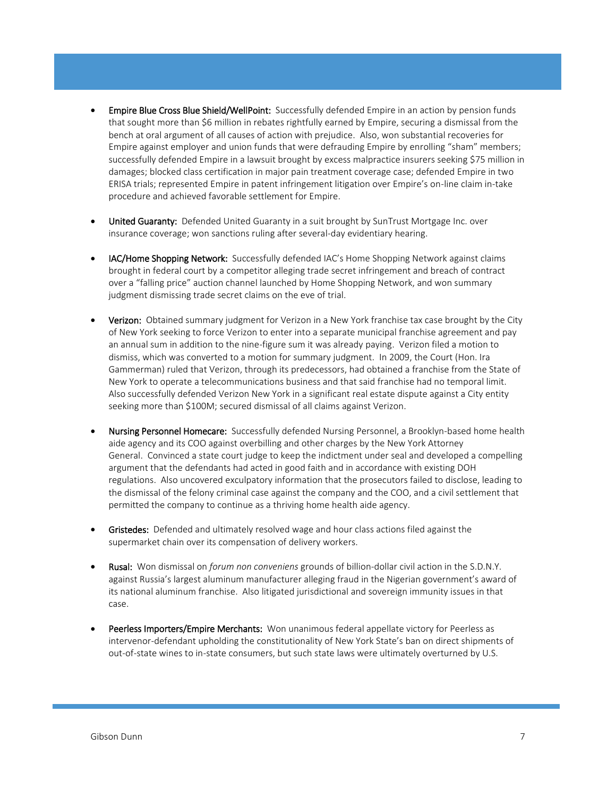- Empire Blue Cross Blue Shield/WellPoint: Successfully defended Empire in an action by pension funds that sought more than \$6 million in rebates rightfully earned by Empire, securing a dismissal from the bench at oral argument of all causes of action with prejudice. Also, won substantial recoveries for Empire against employer and union funds that were defrauding Empire by enrolling "sham" members; successfully defended Empire in a lawsuit brought by excess malpractice insurers seeking \$75 million in damages; blocked class certification in major pain treatment coverage case; defended Empire in two ERISA trials; represented Empire in patent infringement litigation over Empire's on-line claim in-take procedure and achieved favorable settlement for Empire.
- United Guaranty: Defended United Guaranty in a suit brought by SunTrust Mortgage Inc. over insurance coverage; won sanctions ruling after several-day evidentiary hearing.
- IAC/Home Shopping Network: Successfully defended IAC's Home Shopping Network against claims brought in federal court by a competitor alleging trade secret infringement and breach of contract over a "falling price" auction channel launched by Home Shopping Network, and won summary judgment dismissing trade secret claims on the eve of trial.
- Verizon: Obtained summary judgment for Verizon in a New York franchise tax case brought by the City of New York seeking to force Verizon to enter into a separate municipal franchise agreement and pay an annual sum in addition to the nine-figure sum it was already paying. Verizon filed a motion to dismiss, which was converted to a motion for summary judgment. In 2009, the Court (Hon. Ira Gammerman) ruled that Verizon, through its predecessors, had obtained a franchise from the State of New York to operate a telecommunications business and that said franchise had no temporal limit. Also successfully defended Verizon New York in a significant real estate dispute against a City entity seeking more than \$100M; secured dismissal of all claims against Verizon.
- Nursing Personnel Homecare: Successfully defended Nursing Personnel, a Brooklyn-based home health aide agency and its COO against overbilling and other charges by the New York Attorney General. Convinced a state court judge to keep the indictment under seal and developed a compelling argument that the defendants had acted in good faith and in accordance with existing DOH regulations. Also uncovered exculpatory information that the prosecutors failed to disclose, leading to the dismissal of the felony criminal case against the company and the COO, and a civil settlement that permitted the company to continue as a thriving home health aide agency.
- Gristedes: Defended and ultimately resolved wage and hour class actions filed against the supermarket chain over its compensation of delivery workers.
- Rusal: Won dismissal on *forum non conveniens* grounds of billion-dollar civil action in the S.D.N.Y. against Russia's largest aluminum manufacturer alleging fraud in the Nigerian government's award of its national aluminum franchise. Also litigated jurisdictional and sovereign immunity issues in that case.
- Peerless Importers/Empire Merchants: Won unanimous federal appellate victory for Peerless as intervenor-defendant upholding the constitutionality of New York State's ban on direct shipments of out-of-state wines to in-state consumers, but such state laws were ultimately overturned by U.S.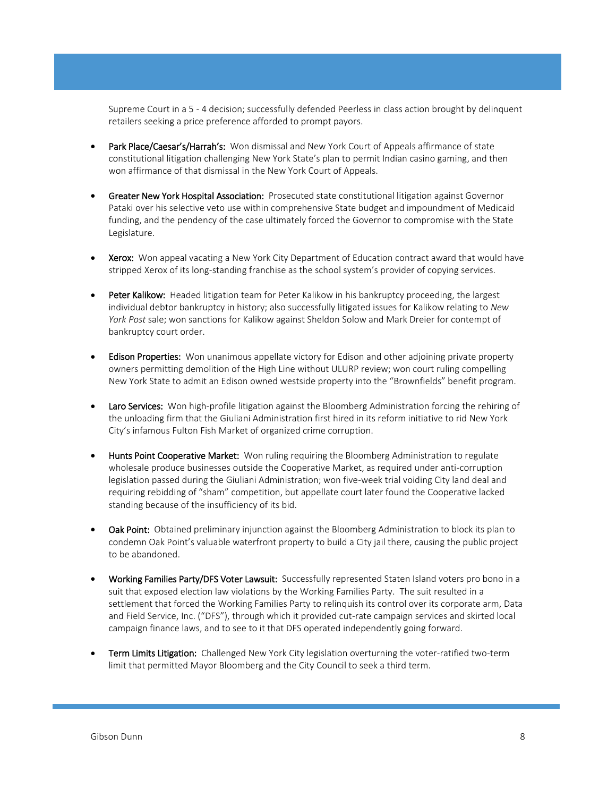Supreme Court in a 5 - 4 decision; successfully defended Peerless in class action brought by delinquent retailers seeking a price preference afforded to prompt payors.

- Park Place/Caesar's/Harrah's: Won dismissal and New York Court of Appeals affirmance of state constitutional litigation challenging New York State's plan to permit Indian casino gaming, and then won affirmance of that dismissal in the New York Court of Appeals.
- Greater New York Hospital Association: Prosecuted state constitutional litigation against Governor Pataki over his selective veto use within comprehensive State budget and impoundment of Medicaid funding, and the pendency of the case ultimately forced the Governor to compromise with the State Legislature.
- **Xerox:** Won appeal vacating a New York City Department of Education contract award that would have stripped Xerox of its long-standing franchise as the school system's provider of copying services.
- Peter Kalikow: Headed litigation team for Peter Kalikow in his bankruptcy proceeding, the largest individual debtor bankruptcy in history; also successfully litigated issues for Kalikow relating to *New York Post* sale; won sanctions for Kalikow against Sheldon Solow and Mark Dreier for contempt of bankruptcy court order.
- **Edison Properties:** Won unanimous appellate victory for Edison and other adjoining private property owners permitting demolition of the High Line without ULURP review; won court ruling compelling New York State to admit an Edison owned westside property into the "Brownfields" benefit program.
- **Laro Services:** Won high-profile litigation against the Bloomberg Administration forcing the rehiring of the unloading firm that the Giuliani Administration first hired in its reform initiative to rid New York City's infamous Fulton Fish Market of organized crime corruption.
- Hunts Point Cooperative Market: Won ruling requiring the Bloomberg Administration to regulate wholesale produce businesses outside the Cooperative Market, as required under anti-corruption legislation passed during the Giuliani Administration; won five-week trial voiding City land deal and requiring rebidding of "sham" competition, but appellate court later found the Cooperative lacked standing because of the insufficiency of its bid.
- Oak Point: Obtained preliminary injunction against the Bloomberg Administration to block its plan to condemn Oak Point's valuable waterfront property to build a City jail there, causing the public project to be abandoned.
- Working Families Party/DFS Voter Lawsuit: Successfully represented Staten Island voters pro bono in a suit that exposed election law violations by the Working Families Party. The suit resulted in a settlement that forced the Working Families Party to relinquish its control over its corporate arm, Data and Field Service, Inc. ("DFS"), through which it provided cut-rate campaign services and skirted local campaign finance laws, and to see to it that DFS operated independently going forward.
- Term Limits Litigation: Challenged New York City legislation overturning the voter-ratified two-term limit that permitted Mayor Bloomberg and the City Council to seek a third term.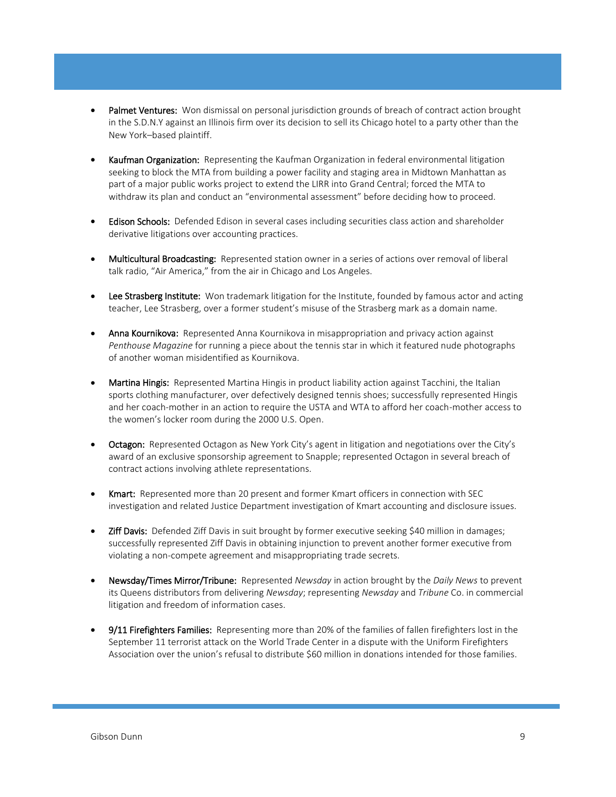- Palmet Ventures: Won dismissal on personal jurisdiction grounds of breach of contract action brought in the S.D.N.Y against an Illinois firm over its decision to sell its Chicago hotel to a party other than the New York–based plaintiff.
- Kaufman Organization: Representing the Kaufman Organization in federal environmental litigation seeking to block the MTA from building a power facility and staging area in Midtown Manhattan as part of a major public works project to extend the LIRR into Grand Central; forced the MTA to withdraw its plan and conduct an "environmental assessment" before deciding how to proceed.
- Edison Schools: Defended Edison in several cases including securities class action and shareholder derivative litigations over accounting practices.
- Multicultural Broadcasting: Represented station owner in a series of actions over removal of liberal talk radio, "Air America," from the air in Chicago and Los Angeles.
- Lee Strasberg Institute: Won trademark litigation for the Institute, founded by famous actor and acting teacher, Lee Strasberg, over a former student's misuse of the Strasberg mark as a domain name.
- Anna Kournikova: Represented Anna Kournikova in misappropriation and privacy action against *Penthouse Magazine* for running a piece about the tennis star in which it featured nude photographs of another woman misidentified as Kournikova.
- Martina Hingis: Represented Martina Hingis in product liability action against Tacchini, the Italian sports clothing manufacturer, over defectively designed tennis shoes; successfully represented Hingis and her coach-mother in an action to require the USTA and WTA to afford her coach-mother access to the women's locker room during the 2000 U.S. Open.
- Octagon: Represented Octagon as New York City's agent in litigation and negotiations over the City's award of an exclusive sponsorship agreement to Snapple; represented Octagon in several breach of contract actions involving athlete representations.
- **Kmart:** Represented more than 20 present and former Kmart officers in connection with SEC investigation and related Justice Department investigation of Kmart accounting and disclosure issues.
- Ziff Davis: Defended Ziff Davis in suit brought by former executive seeking \$40 million in damages; successfully represented Ziff Davis in obtaining injunction to prevent another former executive from violating a non-compete agreement and misappropriating trade secrets.
- Newsday/Times Mirror/Tribune: Represented *Newsday* in action brought by the *Daily News* to prevent its Queens distributors from delivering *Newsday*; representing *Newsday* and *Tribune* Co. in commercial litigation and freedom of information cases.
- 9/11 Firefighters Families: Representing more than 20% of the families of fallen firefighters lost in the September 11 terrorist attack on the World Trade Center in a dispute with the Uniform Firefighters Association over the union's refusal to distribute \$60 million in donations intended for those families.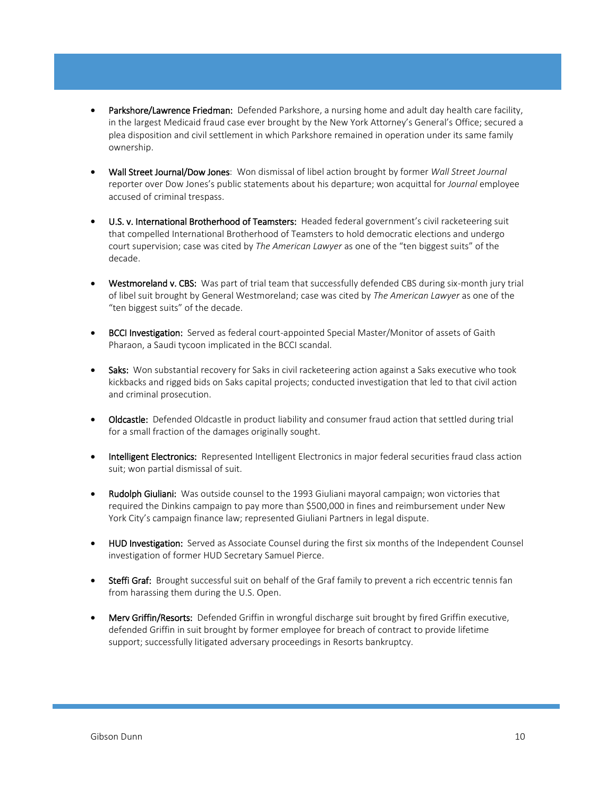- Parkshore/Lawrence Friedman: Defended Parkshore, a nursing home and adult day health care facility, in the largest Medicaid fraud case ever brought by the New York Attorney's General's Office; secured a plea disposition and civil settlement in which Parkshore remained in operation under its same family ownership.
- Wall Street Journal/Dow Jones: Won dismissal of libel action brought by former *Wall Street Journal* reporter over Dow Jones's public statements about his departure; won acquittal for *Journal* employee accused of criminal trespass.
- U.S. v. International Brotherhood of Teamsters: Headed federal government's civil racketeering suit that compelled International Brotherhood of Teamsters to hold democratic elections and undergo court supervision; case was cited by *The American Lawyer* as one of the "ten biggest suits" of the decade.
- Westmoreland v. CBS: Was part of trial team that successfully defended CBS during six-month jury trial of libel suit brought by General Westmoreland; case was cited by *The American Lawyer* as one of the "ten biggest suits" of the decade.
- BCCI Investigation: Served as federal court-appointed Special Master/Monitor of assets of Gaith Pharaon, a Saudi tycoon implicated in the BCCI scandal.
- Saks: Won substantial recovery for Saks in civil racketeering action against a Saks executive who took kickbacks and rigged bids on Saks capital projects; conducted investigation that led to that civil action and criminal prosecution.
- Oldcastle: Defended Oldcastle in product liability and consumer fraud action that settled during trial for a small fraction of the damages originally sought.
- Intelligent Electronics: Represented Intelligent Electronics in major federal securities fraud class action suit; won partial dismissal of suit.
- **Rudolph Giuliani:** Was outside counsel to the 1993 Giuliani mayoral campaign; won victories that required the Dinkins campaign to pay more than \$500,000 in fines and reimbursement under New York City's campaign finance law; represented Giuliani Partners in legal dispute.
- HUD Investigation: Served as Associate Counsel during the first six months of the Independent Counsel investigation of former HUD Secretary Samuel Pierce.
- Steffi Graf: Brought successful suit on behalf of the Graf family to prevent a rich eccentric tennis fan from harassing them during the U.S. Open.
- Merv Griffin/Resorts: Defended Griffin in wrongful discharge suit brought by fired Griffin executive, defended Griffin in suit brought by former employee for breach of contract to provide lifetime support; successfully litigated adversary proceedings in Resorts bankruptcy.